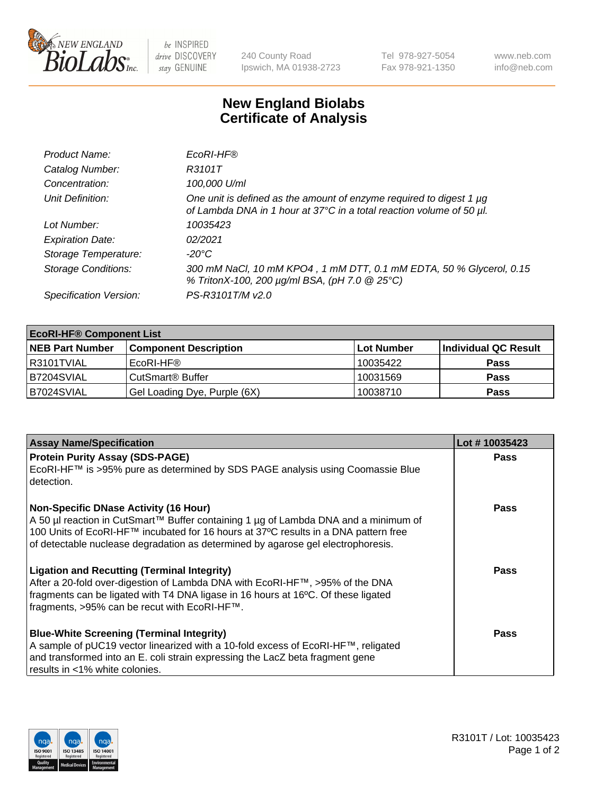

 $be$  INSPIRED drive DISCOVERY stay GENUINE

240 County Road Ipswich, MA 01938-2723 Tel 978-927-5054 Fax 978-921-1350 www.neb.com info@neb.com

## **New England Biolabs Certificate of Analysis**

| Product Name:              | EcoRI-HF®                                                                                                                                   |
|----------------------------|---------------------------------------------------------------------------------------------------------------------------------------------|
| Catalog Number:            | R3101T                                                                                                                                      |
| Concentration:             | 100,000 U/ml                                                                                                                                |
| Unit Definition:           | One unit is defined as the amount of enzyme required to digest 1 µg<br>of Lambda DNA in 1 hour at 37°C in a total reaction volume of 50 µl. |
| Lot Number:                | 10035423                                                                                                                                    |
| <b>Expiration Date:</b>    | 02/2021                                                                                                                                     |
| Storage Temperature:       | $-20^{\circ}$ C                                                                                                                             |
| <b>Storage Conditions:</b> | 300 mM NaCl, 10 mM KPO4, 1 mM DTT, 0.1 mM EDTA, 50 % Glycerol, 0.15<br>% TritonX-100, 200 µg/ml BSA, (pH 7.0 @ 25°C)                        |
| Specification Version:     | PS-R3101T/M v2.0                                                                                                                            |

| <b>EcoRI-HF® Component List</b> |                              |            |                      |  |  |
|---------------------------------|------------------------------|------------|----------------------|--|--|
| <b>NEB Part Number</b>          | <b>Component Description</b> | Lot Number | Individual QC Result |  |  |
| R3101TVIAL                      | EcoRI-HF®                    | 10035422   | <b>Pass</b>          |  |  |
| B7204SVIAL                      | CutSmart <sup>®</sup> Buffer | 10031569   | <b>Pass</b>          |  |  |
| B7024SVIAL                      | Gel Loading Dye, Purple (6X) | 10038710   | <b>Pass</b>          |  |  |

| <b>Assay Name/Specification</b>                                                                                                                                                                                                                                         | Lot #10035423 |
|-------------------------------------------------------------------------------------------------------------------------------------------------------------------------------------------------------------------------------------------------------------------------|---------------|
| <b>Protein Purity Assay (SDS-PAGE)</b><br>EcoRI-HF™ is >95% pure as determined by SDS PAGE analysis using Coomassie Blue                                                                                                                                                | <b>Pass</b>   |
| detection.<br><b>Non-Specific DNase Activity (16 Hour)</b>                                                                                                                                                                                                              | Pass          |
| A 50 µl reaction in CutSmart™ Buffer containing 1 µg of Lambda DNA and a minimum of<br>100 Units of EcoRI-HF™ incubated for 16 hours at 37°C results in a DNA pattern free<br>of detectable nuclease degradation as determined by agarose gel electrophoresis.          |               |
| <b>Ligation and Recutting (Terminal Integrity)</b><br>After a 20-fold over-digestion of Lambda DNA with EcoRI-HF™, >95% of the DNA<br>fragments can be ligated with T4 DNA ligase in 16 hours at 16°C. Of these ligated<br>fragments, >95% can be recut with EcoRI-HF™. | Pass          |
| <b>Blue-White Screening (Terminal Integrity)</b><br>A sample of pUC19 vector linearized with a 10-fold excess of EcoRI-HF™, religated<br>and transformed into an E. coli strain expressing the LacZ beta fragment gene<br>results in <1% white colonies.                | <b>Pass</b>   |